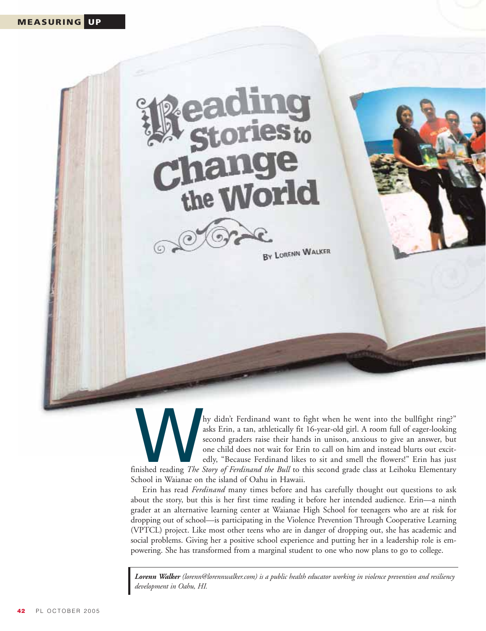# **e**S<sub>to</sub> the **World**



BY LORENN WALKER

Archived want to fight when he went into the bullfight ring?"<br>
asks Erin, a tan, athletically fit 16-year-old girl. A room full of eager-looking<br>
second graders raise their hands in unison, anxious to give an answer, but<br> asks Erin, a tan, athletically fit 16-year-old girl. A room full of eager-looking second graders raise their hands in unison, anxious to give an answer, but one child does not wait for Erin to call on him and instead blurts out excitedly, "Because Ferdinand likes to sit and smell the flowers!" Erin has just School in Waianae on the island of Oahu in Hawaii.

Erin has read *Ferdinand* many times before and has carefully thought out questions to ask about the story, but this is her first time reading it before her intended audience. Erin—a ninth grader at an alternative learning center at Waianae High School for teenagers who are at risk for dropping out of school—is participating in the Violence Prevention Through Cooperative Learning (VPTCL) project. Like most other teens who are in danger of dropping out, she has academic and social problems. Giving her a positive school experience and putting her in a leadership role is empowering. She has transformed from a marginal student to one who now plans to go to college.

*Lorenn Walker (lorenn@lorennwalker.com) is a public health educator working in violence prevention and resiliency development in Oahu, HI.*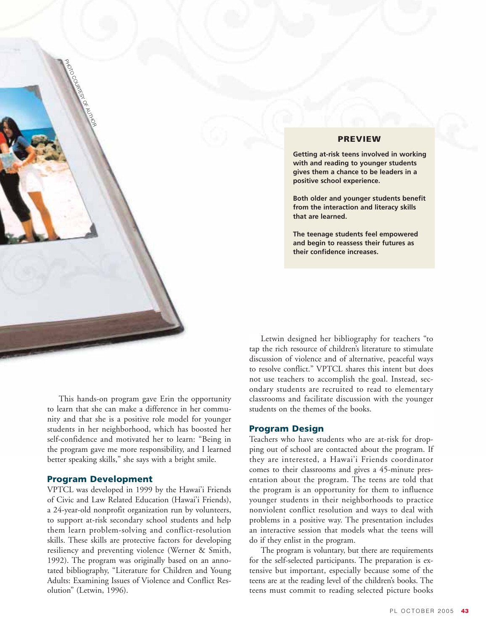

# **PREVIEW**

**Getting at-risk teens involved in working with and reading to younger students gives them a chance to be leaders in a positive school experience.**

**Both older and younger students benefit from the interaction and literacy skills that are learned.**

**The teenage students feel empowered and begin to reassess their futures as their confidence increases.**

This hands-on program gave Erin the opportunity to learn that she can make a difference in her community and that she is a positive role model for younger students in her neighborhood, which has boosted her self-confidence and motivated her to learn: "Being in the program gave me more responsibility, and I learned better speaking skills," she says with a bright smile.

# **Program Development**

VPTCL was developed in 1999 by the Hawai'i Friends of Civic and Law Related Education (Hawai'i Friends), a 24-year-old nonprofit organization run by volunteers, to support at-risk secondary school students and help them learn problem-solving and conflict-resolution skills. These skills are protective factors for developing resiliency and preventing violence (Werner & Smith, 1992). The program was originally based on an annotated bibliography, "Literature for Children and Young Adults: Examining Issues of Violence and Conflict Resolution" (Letwin, 1996).

Letwin designed her bibliography for teachers "to tap the rich resource of children's literature to stimulate discussion of violence and of alternative, peaceful ways to resolve conflict." VPTCL shares this intent but does not use teachers to accomplish the goal. Instead, secondary students are recruited to read to elementary classrooms and facilitate discussion with the younger students on the themes of the books.

# **Program Design**

Teachers who have students who are at-risk for dropping out of school are contacted about the program. If they are interested, a Hawai'i Friends coordinator comes to their classrooms and gives a 45-minute presentation about the program. The teens are told that the program is an opportunity for them to influence younger students in their neighborhoods to practice nonviolent conflict resolution and ways to deal with problems in a positive way. The presentation includes an interactive session that models what the teens will do if they enlist in the program.

The program is voluntary, but there are requirements for the self-selected participants. The preparation is extensive but important, especially because some of the teens are at the reading level of the children's books. The teens must commit to reading selected picture books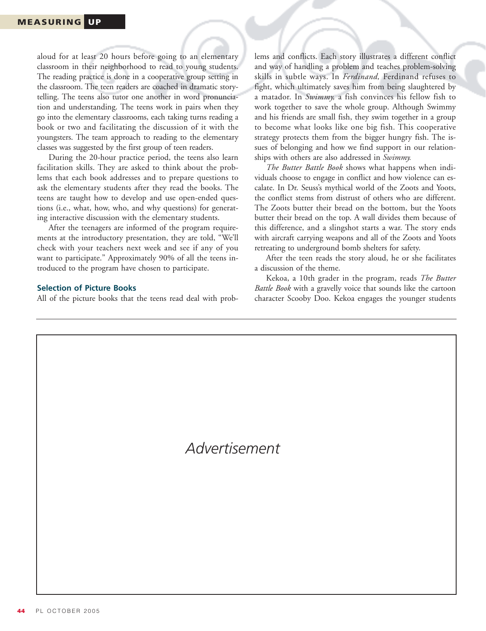aloud for at least 20 hours before going to an elementary classroom in their neighborhood to read to young students. The reading practice is done in a cooperative group setting in the classroom. The teen readers are coached in dramatic storytelling. The teens also tutor one another in word pronunciation and understanding. The teens work in pairs when they go into the elementary classrooms, each taking turns reading a book or two and facilitating the discussion of it with the youngsters. The team approach to reading to the elementary classes was suggested by the first group of teen readers.

During the 20-hour practice period, the teens also learn facilitation skills. They are asked to think about the problems that each book addresses and to prepare questions to ask the elementary students after they read the books. The teens are taught how to develop and use open-ended questions (i.e., what, how, who, and why questions) for generating interactive discussion with the elementary students.

After the teenagers are informed of the program requirements at the introductory presentation, they are told, "We'll check with your teachers next week and see if any of you want to participate." Approximately 90% of all the teens introduced to the program have chosen to participate.

#### **Selection of Picture Books**

All of the picture books that the teens read deal with prob-

lems and conflicts. Each story illustrates a different conflict and way of handling a problem and teaches problem-solving skills in subtle ways. In *Ferdinand,* Ferdinand refuses to fight, which ultimately saves him from being slaughtered by a matador. In *Swimmy,* a fish convinces his fellow fish to work together to save the whole group. Although Swimmy and his friends are small fish, they swim together in a group to become what looks like one big fish. This cooperative strategy protects them from the bigger hungry fish. The issues of belonging and how we find support in our relationships with others are also addressed in *Swimmy.*

*The Butter Battle Book* shows what happens when individuals choose to engage in conflict and how violence can escalate. In Dr. Seuss's mythical world of the Zoots and Yoots, the conflict stems from distrust of others who are different. The Zoots butter their bread on the bottom, but the Yoots butter their bread on the top. A wall divides them because of this difference, and a slingshot starts a war. The story ends with aircraft carrying weapons and all of the Zoots and Yoots retreating to underground bomb shelters for safety.

After the teen reads the story aloud, he or she facilitates a discussion of the theme.

Kekoa, a 10th grader in the program, reads *The Butter Battle Book* with a gravelly voice that sounds like the cartoon character Scooby Doo. Kekoa engages the younger students

*Advertisement*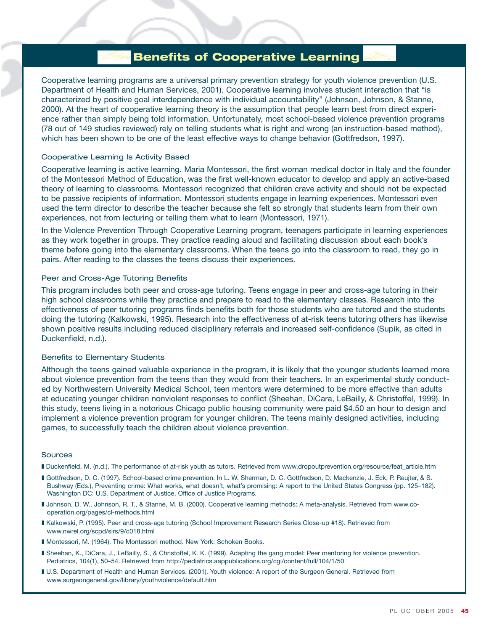# Benefits of Cooperative Learning

Cooperative learning programs are a universal primary prevention strategy for youth violence prevention (U.S. Department of Health and Human Services, 2001). Cooperative learning involves student interaction that "is characterized by positive goal interdependence with individual accountability" (Johnson, Johnson, & Stanne, 2000). At the heart of cooperative learning theory is the assumption that people learn best from direct experience rather than simply being told information. Unfortunately, most school-based violence prevention programs (78 out of 149 studies reviewed) rely on telling students what is right and wrong (an instruction-based method), which has been shown to be one of the least effective ways to change behavior (Gottfredson, 1997).

#### Cooperative Learning Is Activity Based

Cooperative learning is active learning. Maria Montessori, the first woman medical doctor in Italy and the founder of the Montessori Method of Education, was the first well-known educator to develop and apply an active-based theory of learning to classrooms. Montessori recognized that children crave activity and should not be expected to be passive recipients of information. Montessori students engage in learning experiences. Montessori even used the term director to describe the teacher because she felt so strongly that students learn from their own experiences, not from lecturing or telling them what to learn (Montessori, 1971).

In the Violence Prevention Through Cooperative Learning program, teenagers participate in learning experiences as they work together in groups. They practice reading aloud and facilitating discussion about each book's theme before going into the elementary classrooms. When the teens go into the classroom to read, they go in pairs. After reading to the classes the teens discuss their experiences.

#### Peer and Cross-Age Tutoring Benefits

This program includes both peer and cross-age tutoring. Teens engage in peer and cross-age tutoring in their high school classrooms while they practice and prepare to read to the elementary classes. Research into the effectiveness of peer tutoring programs finds benefits both for those students who are tutored and the students doing the tutoring (Kalkowski, 1995). Research into the effectiveness of at-risk teens tutoring others has likewise shown positive results including reduced disciplinary referrals and increased self-confidence (Supik, as cited in Duckenfield, n.d.).

# Benefits to Elementary Students

Although the teens gained valuable experience in the program, it is likely that the younger students learned more about violence prevention from the teens than they would from their teachers. In an experimental study conducted by Northwestern University Medical School, teen mentors were determined to be more effective than adults at educating younger children nonviolent responses to conflict (Sheehan, DiCara, LeBailly, & Christoffel, 1999). In this study, teens living in a notorious Chicago public housing community were paid \$4.50 an hour to design and implement a violence prevention program for younger children. The teens mainly designed activities, including games, to successfully teach the children about violence prevention.

#### Sources

- ❚ Duckenfield, M. (n.d.). The performance of at-risk youth as tutors. Retrieved from www.dropoutprevention.org/resource/feat\_article.htm
- Gottfredson, D. C. (1997). School-based crime prevention. In L. W. Sherman, D. C. Gottfredson, D. Mackenzie, J. Eck, P. Reujter, & S. Bushway (Eds.), Preventing crime: What works, what doesn't, what's promising: A report to the United States Congress (pp. 125–182). Washington DC: U.S. Department of Justice, Office of Justice Programs.
- ❚ Johnson, D. W., Johnson, R. T., & Stanne, M. B. (2000). Cooperative learning methods: A meta-analysis. Retrieved from www.cooperation.org/pages/cl-methods.html
- ❚ Kalkowski, P. (1995). Peer and cross-age tutoring (School Improvement Research Series Close-up #18). Retrieved from www.nwrel.org/scpd/sirs/9/c018.html
- Montessori, M. (1964). The Montessori method. New York: Schoken Books.
- Sheehan, K., DiCara, J., LeBailly, S., & Christoffel, K. K. (1999). Adapting the gang model: Peer mentoring for violence prevention. Pediatrics, 104(1), 50–54. Retrieved from http://pediatrics.aappublications.org/cgi/content/full/104/1/50
- I U.S. Department of Health and Human Services. (2001). Youth violence: A report of the Surgeon General. Retrieved from www.surgeongeneral.gov/library/youthviolence/default.htm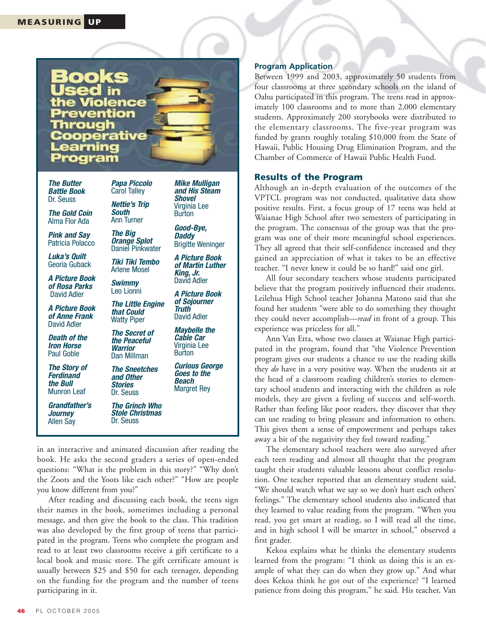

*The Butter Battle Book*  Dr. Seuss

*The Gold Coin* Alma Flor Ada

*Pink and Say*  Patricia Polacco

*Luka's Quilt*  Georia Guback

*A Picture Book of Rosa Parks* David Adler

*A Picture Book of Anne Frank*  David Adler

*Death of the Iron Horse* Paul Goble

*The Story of Ferdinand the Bull* Munron Leaf

*Grandfather's Journey* Allen Say

Carol Talley *Nettie's Trip South*

*Papa Piccolo* 

Ann Turner *The Big* 

*Orange Splot* Daniel Pinkwater

*Tiki Tiki Tembo*  Arlene Mosel

*Swimmy*  Leo Lionni

*The Little Engine*

*The Secret of the Peaceful Warrior* Dan Millman

*The Sneetches and Other Stories*  Dr. Seuss

*The Grinch Who Stole Christmas* Dr. Seuss

in an interactive and animated discussion after reading the

*Daddy* Brigitte Weninger *A Picture Book of Martin Luther*

*Mike Mulligan and His Steam Shovel*  Virginia Lee Burton *Good-Bye,*

*King, Jr.* David Adler

*A Picture Book of Sojourner*

*Maybelle the Cable Car* Virginia Lee Burton

*Curious George Goes to the Beach*  Margret Rey

*that Could* Watty Piper *Truth*  David Adler

**Program Application**

Between 1999 and 2003, approximately 50 students from four classrooms at three secondary schools on the island of Oahu participated in this program. The teens read in approximately 100 classrooms and to more than 2,000 elementary students. Approximately 200 storybooks were distributed to the elementary classrooms. The five-year program was funded by grants roughly totaling \$10,000 from the State of Hawaii, Public Housing Drug Elimination Program, and the Chamber of Commerce of Hawaii Public Health Fund.

# **Results of the Program**

Although an in-depth evaluation of the outcomes of the VPTCL program was not conducted, qualitative data show positive results. First, a focus group of 17 teens was held at Waianae High School after two semesters of participating in the program. The consensus of the group was that the program was one of their more meaningful school experiences. They all agreed that their self-confidence increased and they gained an appreciation of what it takes to be an effective teacher. "I never knew it could be so hard!" said one girl.

All four secondary teachers whose students participated believe that the program positively influenced their students. Leilehua High School teacher Johanna Matono said that she found her students "were able to do something they thought they could never accomplish—*read* in front of a group. This experience was priceless for all."

Ann Van Etta, whose two classes at Waianae High participated in the program, found that "the Violence Prevention program gives our students a chance to use the reading skills they *do* have in a very positive way. When the students sit at the head of a classroom reading children's stories to elementary school students and interacting with the children as role models, they are given a feeling of success and self-worth. Rather than feeling like poor readers, they discover that they can use reading to bring pleasure and information to others. This gives them a sense of empowerment and perhaps takes away a bit of the negativity they feel toward reading."

The elementary school teachers were also surveyed after each teen reading and almost all thought that the program taught their students valuable lessons about conflict resolution. One teacher reported that an elementary student said, "We should watch what we say so we don't hurt each others' feelings." The elementary school students also indicated that they learned to value reading from the program. "When you read, you get smart at reading, so I will read all the time, and in high school I will be smarter in school," observed a first grader.

Kekoa explains what he thinks the elementary students learned from the program: "I think us doing this is an example of what they can do when they grow up." And what does Kekoa think he got out of the experience? "I learned patience from doing this program," he said. His teacher, Van

book. He asks the second graders a series of open-ended questions: "What is the problem in this story?" "Why don't the Zoots and the Yoots like each other?" "How are people you know different from you?" After reading and discussing each book, the teens sign their names in the book, sometimes including a personal

message, and then give the book to the class. This tradition was also developed by the first group of teens that participated in the program. Teens who complete the program and read to at least two classrooms receive a gift certificate to a local book and music store. The gift certificate amount is usually between \$25 and \$50 for each teenager, depending on the funding for the program and the number of teens participating in it.